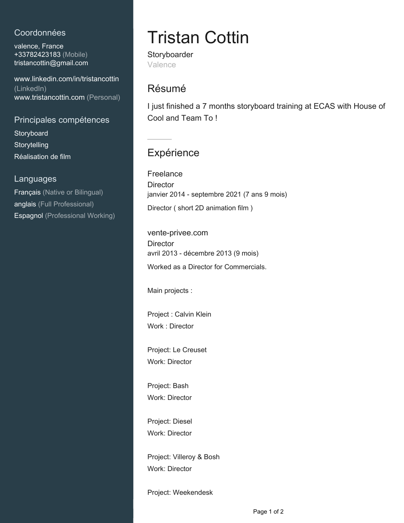#### Coordonnées

valence, France +33782423183 (Mobile) [tristancottin@gmail.com](mailto:tristancottin@gmail.com)

[www.linkedin.com/in/tristancottin](https://www.linkedin.com/in/tristancottin?jobid=1234&lipi=urn%3Ali%3Apage%3Ad_jobs_easyapply_pdfgenresume%3B9vQw49R4RpCWQVpVm64Q2g%3D%3D&licu=urn%3Ali%3Acontrol%3Ad_jobs_easyapply_pdfgenresume-v02_profile) [\(LinkedIn\)](https://www.linkedin.com/in/tristancottin?jobid=1234&lipi=urn%3Ali%3Apage%3Ad_jobs_easyapply_pdfgenresume%3B9vQw49R4RpCWQVpVm64Q2g%3D%3D&licu=urn%3Ali%3Acontrol%3Ad_jobs_easyapply_pdfgenresume-v02_profile) [www.tristancottin.com \(Personal\)](http://www.tristancottin.com)

Principales compétences **Storyboard Storytelling** Réalisation de film

#### Languages

Français (Native or Bilingual) anglais (Full Professional) Espagnol (Professional Working)

# Tristan Cottin

**Storyboarder** Valence

### Résumé

I just finished a 7 months storyboard training at ECAS with House of Cool and Team To !

## **Expérience**

Freelance **Director** janvier 2014 - septembre 2021 (7 ans 9 mois) Director ( short 2D animation film )

vente-privee.com **Director** avril 2013 - décembre 2013 (9 mois) Worked as a Director for Commercials.

Main projects :

Project : Calvin Klein Work : Director

Project: Le Creuset Work: Director

Project: Bash Work: Director

Project: Diesel Work: Director

Project: Villeroy & Bosh Work: Director

Project: Weekendesk